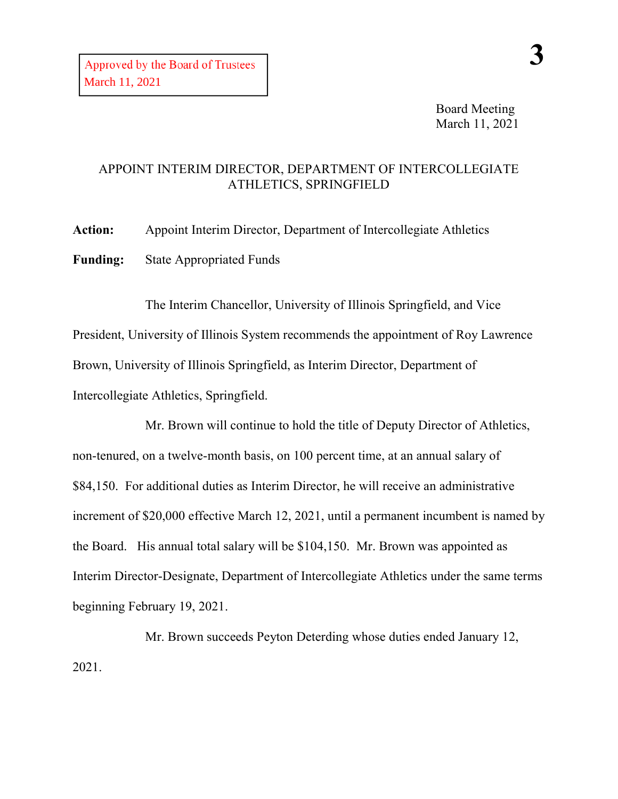Board Meeting March 11, 2021

## APPOINT INTERIM DIRECTOR, DEPARTMENT OF INTERCOLLEGIATE ATHLETICS, SPRINGFIELD

**Action:** Appoint Interim Director, Department of Intercollegiate Athletics **Funding:** State Appropriated Funds

The Interim Chancellor, University of Illinois Springfield, and Vice President, University of Illinois System recommends the appointment of Roy Lawrence Brown, University of Illinois Springfield, as Interim Director, Department of Intercollegiate Athletics, Springfield.

Mr. Brown will continue to hold the title of Deputy Director of Athletics, non-tenured, on a twelve-month basis, on 100 percent time, at an annual salary of \$84,150. For additional duties as Interim Director, he will receive an administrative increment of \$20,000 effective March 12, 2021, until a permanent incumbent is named by the Board. His annual total salary will be \$104,150. Mr. Brown was appointed as Interim Director-Designate, Department of Intercollegiate Athletics under the same terms beginning February 19, 2021.

Mr. Brown succeeds Peyton Deterding whose duties ended January 12, 2021.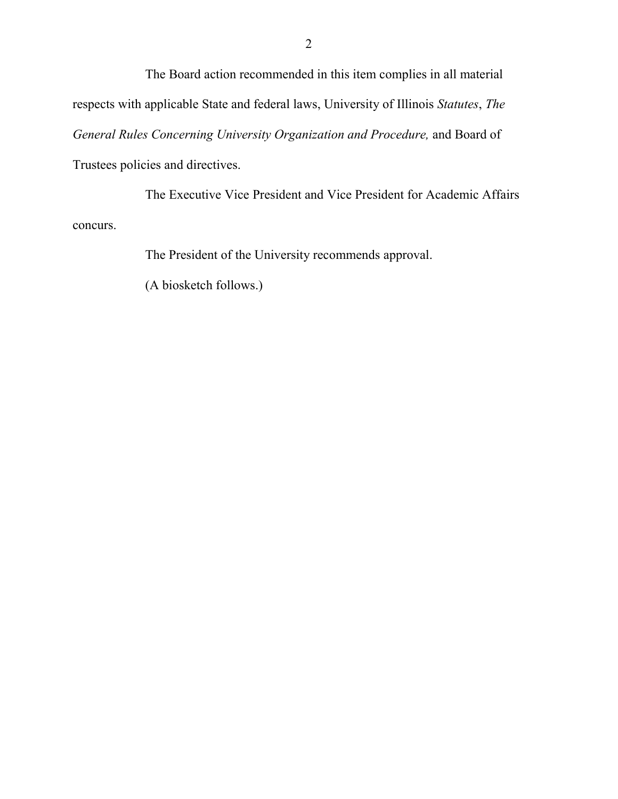The Board action recommended in this item complies in all material respects with applicable State and federal laws, University of Illinois *Statutes*, *The General Rules Concerning University Organization and Procedure,* and Board of Trustees policies and directives.

The Executive Vice President and Vice President for Academic Affairs concurs.

The President of the University recommends approval.

(A biosketch follows.)